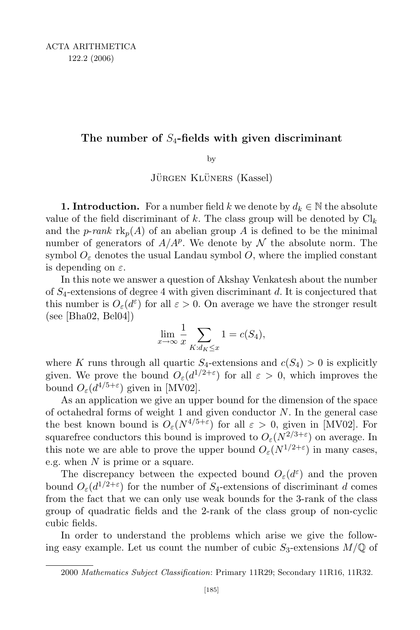## The number of  $S_4$ -fields with given discriminant

by

JÜRGEN KLÜNERS (Kassel)

**1. Introduction.** For a number field k we denote by  $d_k \in \mathbb{N}$  the absolute value of the field discriminant of k. The class group will be denoted by  $\mathrm{Cl}_k$ and the *p-rank*  $\text{rk}_p(A)$  of an abelian group A is defined to be the minimal number of generators of  $A/A^p$ . We denote by  $\mathcal N$  the absolute norm. The symbol  $O_{\varepsilon}$  denotes the usual Landau symbol O, where the implied constant is depending on  $\varepsilon$ .

In this note we answer a question of Akshay Venkatesh about the number of  $S_4$ -extensions of degree 4 with given discriminant d. It is conjectured that this number is  $O_{\varepsilon}(d^{\varepsilon})$  for all  $\varepsilon > 0$ . On average we have the stronger result (see [Bha02, Bel04])

$$
\lim_{x \to \infty} \frac{1}{x} \sum_{K: d_K \le x} 1 = c(S_4),
$$

where K runs through all quartic  $S_4$ -extensions and  $c(S_4) > 0$  is explicitly given. We prove the bound  $O_{\varepsilon}(d^{1/2+\varepsilon})$  for all  $\varepsilon > 0$ , which improves the bound  $O_{\varepsilon}(d^{4/5+\varepsilon})$  given in [MV02].

As an application we give an upper bound for the dimension of the space of octahedral forms of weight 1 and given conductor  $N$ . In the general case the best known bound is  $O_{\varepsilon}(N^{4/5+\varepsilon})$  for all  $\varepsilon > 0$ , given in [MV02]. For squarefree conductors this bound is improved to  $O_{\varepsilon}(N^{2/3+\varepsilon})$  on average. In this note we are able to prove the upper bound  $O_{\varepsilon}(N^{1/2+\varepsilon})$  in many cases, e.g. when  $N$  is prime or a square.

The discrepancy between the expected bound  $O_{\varepsilon}(d^{\varepsilon})$  and the proven bound  $O_{\varepsilon}(d^{1/2+\varepsilon})$  for the number of S<sub>4</sub>-extensions of discriminant d comes from the fact that we can only use weak bounds for the 3-rank of the class group of quadratic fields and the 2-rank of the class group of non-cyclic cubic fields.

In order to understand the problems which arise we give the following easy example. Let us count the number of cubic  $S_3$ -extensions  $M/\mathbb{Q}$  of

<sup>2000</sup> Mathematics Subject Classification: Primary 11R29; Secondary 11R16, 11R32.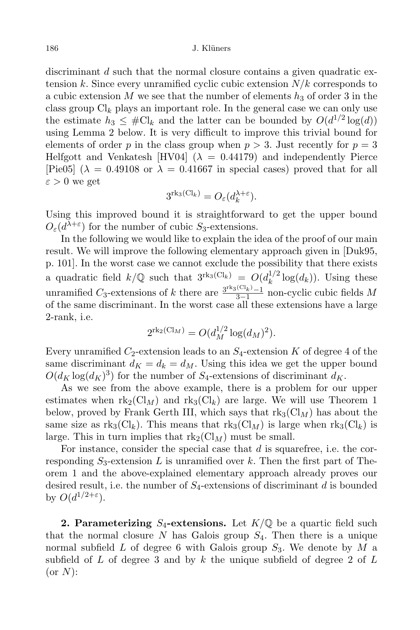discriminant d such that the normal closure contains a given quadratic extension k. Since every unramified cyclic cubic extension  $N/k$  corresponds to a cubic extension M we see that the number of elements  $h_3$  of order 3 in the class group  $\text{Cl}_k$  plays an important role. In the general case we can only use the estimate  $h_3 \n\t\leq \# \mathcal{C} \downarrow_k$  and the latter can be bounded by  $O(d^{1/2} \log(d))$ using Lemma 2 below. It is very difficult to improve this trivial bound for elements of order p in the class group when  $p > 3$ . Just recently for  $p = 3$ Helfgott and Venkatesh [HV04] ( $\lambda = 0.44179$ ) and independently Pierce [Pie05] ( $\lambda = 0.49108$  or  $\lambda = 0.41667$  in special cases) proved that for all  $\varepsilon > 0$  we get

$$
3^{\mathrm{rk}_3(\mathrm{Cl}_k)} = O_{\varepsilon}(d_k^{\lambda + \varepsilon}).
$$

Using this improved bound it is straightforward to get the upper bound  $O_{\varepsilon}(d^{\lambda+\varepsilon})$  for the number of cubic  $S_3$ -extensions.

In the following we would like to explain the idea of the proof of our main result. We will improve the following elementary approach given in [Duk95, p. 101]. In the worst case we cannot exclude the possibility that there exists a quadratic field  $k/\mathbb{Q}$  such that  $3^{\text{rk}_3(\text{Cl}_k)} = O(d_k^{1/2} \log(d_k))$ . Using these k unramified C<sub>3</sub>-extensions of k there are  $\frac{3^{\text{rk}_3(\text{Cl}_k)}-1}{3-1}$  $\frac{\sqrt{3k^2-1}}{3-1}$  non-cyclic cubic fields M of the same discriminant. In the worst case all these extensions have a large 2-rank, i.e.

$$
2^{\mathrm{rk}_2(\mathrm{Cl}_M)} = O(d_M^{1/2} \log(d_M)^2).
$$

Every unramified  $C_2$ -extension leads to an  $S_4$ -extension K of degree 4 of the same discriminant  $d_K = d_k = d_M$ . Using this idea we get the upper bound  $O(d_K \log(d_K)^3)$  for the number of  $S_4$ -extensions of discriminant  $d_K$ .

As we see from the above example, there is a problem for our upper estimates when  $\text{rk}_2(\text{Cl}_M)$  and  $\text{rk}_3(\text{Cl}_k)$  are large. We will use Theorem 1 below, proved by Frank Gerth III, which says that  $\text{rk}_3(\text{Cl}_M)$  has about the same size as  $rk_3(Cl_k)$ . This means that  $rk_3(Cl_M)$  is large when  $rk_3(Cl_k)$  is large. This in turn implies that  $\text{rk}_2(\text{Cl}_M)$  must be small.

For instance, consider the special case that  $d$  is squarefree, i.e. the corresponding  $S_3$ -extension L is unramified over k. Then the first part of Theorem 1 and the above-explained elementary approach already proves our desired result, i.e. the number of  $S_4$ -extensions of discriminant d is bounded by  $O(d^{1/2+\varepsilon}).$ 

**2. Parameterizing** S<sub>4</sub>-extensions. Let  $K/\mathbb{Q}$  be a quartic field such that the normal closure N has Galois group  $S_4$ . Then there is a unique normal subfield  $L$  of degree 6 with Galois group  $S_3$ . We denote by  $M$  a subfield of  $L$  of degree 3 and by  $k$  the unique subfield of degree 2 of  $L$  $(or N):$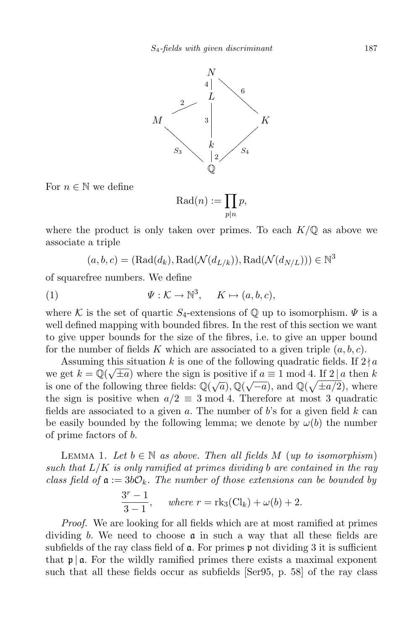

For  $n \in \mathbb{N}$  we define

 $\mathrm{Rad}(n) := \prod$  $p|n$  $\overline{p},$ 

where the product is only taken over primes. To each  $K/\mathbb{Q}$  as above we associate a triple

$$
(a, b, c) = (Rad(d_k), Rad(\mathcal{N}(d_{L/k})), Rad(\mathcal{N}(d_{N/L}))) \in \mathbb{N}^3
$$

of squarefree numbers. We define

(1) 
$$
\Psi: \mathcal{K} \to \mathbb{N}^3, \quad K \mapsto (a, b, c),
$$

where K is the set of quartic  $S_4$ -extensions of  $\mathbb Q$  up to isomorphism.  $\Psi$  is a well defined mapping with bounded fibres. In the rest of this section we want to give upper bounds for the size of the fibres, i.e. to give an upper bound for the number of fields K which are associated to a given triple  $(a, b, c)$ .

Assuming this situation k is one of the following quadratic fields. If  $2/a$ we get  $k = \mathbb{Q}(\sqrt{\pm a})$  where the sign is positive if  $a \equiv 1 \mod 4$ . If  $2 | a \text{ then } k$ is one of the following three fields:  $\mathbb{Q}(\sqrt{a}), \mathbb{Q}(\sqrt{-a}),$  and  $\mathbb{Q}(\sqrt{\pm a/2}),$  where the sign is positive when  $a/2 \equiv 3 \mod 4$ . Therefore at most 3 quadratic fields are associated to a given  $a$ . The number of  $b$ 's for a given field  $k$  can be easily bounded by the following lemma; we denote by  $\omega(b)$  the number of prime factors of b.

LEMMA 1. Let  $b \in \mathbb{N}$  as above. Then all fields M (up to isomorphism) such that  $L/K$  is only ramified at primes dividing b are contained in the ray class field of  $a := 3b\mathcal{O}_k$ . The number of those extensions can be bounded by

$$
\frac{3^{r} - 1}{3 - 1}, \quad \text{where } r = \text{rk}_3(\text{Cl}_k) + \omega(b) + 2.
$$

Proof. We are looking for all fields which are at most ramified at primes dividing b. We need to choose  $\alpha$  in such a way that all these fields are subfields of the ray class field of  $\alpha$ . For primes  $\beta$  not dividing 3 it is sufficient that  $\mathfrak{p} \mid \mathfrak{a}$ . For the wildly ramified primes there exists a maximal exponent such that all these fields occur as subfields [Ser95, p. 58] of the ray class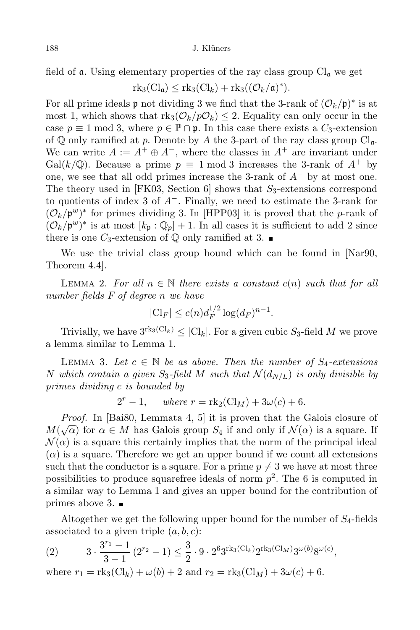field of **a**. Using elementary properties of the ray class group  $Cl_a$  we get

$$
rk_3(Cl_{\mathfrak{a}}) \leq rk_3(Cl_k) + rk_3((\mathcal{O}_k/\mathfrak{a})^*).
$$

For all prime ideals **p** not dividing 3 we find that the 3-rank of  $(\mathcal{O}_k/\mathfrak{p})^*$  is at most 1, which shows that  $\text{rk}_3(\mathcal{O}_k/p\mathcal{O}_k) \leq 2$ . Equality can only occur in the case  $p \equiv 1 \mod 3$ , where  $p \in \mathbb{P} \cap \mathfrak{p}$ . In this case there exists a  $C_3$ -extension of  $\mathbb Q$  only ramified at p. Denote by A the 3-part of the ray class group  $\text{Cl}_{\mathfrak{a}}$ . We can write  $A := A^+ \oplus A^-$ , where the classes in  $A^+$  are invariant under Gal(k/ $\mathbb{Q}$ ). Because a prime  $p \equiv 1 \mod 3$  increases the 3-rank of  $A^+$  by one, we see that all odd primes increase the 3-rank of  $A^-$  by at most one. The theory used in [FK03, Section 6] shows that  $S_3$ -extensions correspond to quotients of index 3 of  $A^-$ . Finally, we need to estimate the 3-rank for  $(\mathcal{O}_k/\mathfrak{p}^w)^*$  for primes dividing 3. In [HPP03] it is proved that the p-rank of  $(\mathcal{O}_k/\mathfrak{p}^w)^*$  is at most  $[k_{\mathfrak{p}}:\mathbb{Q}_p]+1$ . In all cases it is sufficient to add 2 since there is one  $C_3$ -extension of  $\mathbb Q$  only ramified at 3.

We use the trivial class group bound which can be found in [Nar90, Theorem 4.4].

LEMMA 2. For all  $n \in \mathbb{N}$  there exists a constant  $c(n)$  such that for all number fields F of degree n we have

$$
|Cl_F| \le c(n)d_F^{1/2}\log(d_F)^{n-1}.
$$

Trivially, we have  $3^{\text{rk}_3(\text{Cl}_k)} \leq |\text{Cl}_k|$ . For a given cubic  $S_3$ -field M we prove a lemma similar to Lemma 1.

LEMMA 3. Let  $c \in \mathbb{N}$  be as above. Then the number of  $S_4$ -extensions N which contain a given S<sub>3</sub>-field M such that  $\mathcal{N}(d_{N/L})$  is only divisible by primes dividing c is bounded by

$$
2r - 1, \quad where \ r = \text{rk}_2(\text{Cl}_M) + 3\omega(c) + 6.
$$

Proof. In [Bai80, Lemmata 4, 5] it is proven that the Galois closure of  $M(\sqrt{\alpha})$  for  $\alpha \in M$  has Galois group  $S_4$  if and only if  $\mathcal{N}(\alpha)$  is a square. If  $\mathcal{N}(\alpha)$  is a square this certainly implies that the norm of the principal ideal  $(\alpha)$  is a square. Therefore we get an upper bound if we count all extensions such that the conductor is a square. For a prime  $p \neq 3$  we have at most three possibilities to produce squarefree ideals of norm  $p^2$ . The 6 is computed in a similar way to Lemma 1 and gives an upper bound for the contribution of primes above 3.  $\blacksquare$ 

Altogether we get the following upper bound for the number of  $S_4$ -fields associated to a given triple  $(a, b, c)$ :

(2) 
$$
3 \cdot \frac{3^{r_1} - 1}{3 - 1} (2^{r_2} - 1) \le \frac{3}{2} \cdot 9 \cdot 2^6 3^{\text{rk}_3(\text{Cl}_k)} 2^{\text{rk}_3(\text{Cl}_M)} 3^{\omega(b)} 8^{\omega(c)},
$$

where  $r_1 = \text{rk}_3(\text{Cl}_k) + \omega(b) + 2$  and  $r_2 = \text{rk}_3(\text{Cl}_M) + 3\omega(c) + 6$ .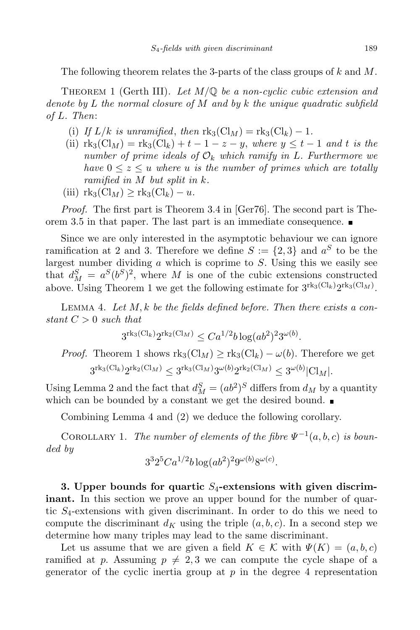The following theorem relates the 3-parts of the class groups of  $k$  and  $M$ .

THEOREM 1 (Gerth III). Let  $M/\mathbb{Q}$  be a non-cyclic cubic extension and denote by L the normal closure of M and by k the unique quadratic subfield of L. Then:

- (i) If  $L/k$  is unramified, then  $\text{rk}_3(\text{Cl}_M) = \text{rk}_3(\text{Cl}_k) 1$ .
- (ii)  $rk_3(Cl_M) = rk_3(Cl_k) + t 1 z y$ , where  $y \leq t 1$  and t is the number of prime ideals of  $\mathcal{O}_k$  which ramify in L. Furthermore we have  $0 \leq z \leq u$  where u is the number of primes which are totally ramified in M but split in k.
- (iii)  $\text{rk}_3(\text{Cl}_M) \geq \text{rk}_3(\text{Cl}_k) u$ .

Proof. The first part is Theorem 3.4 in [Ger76]. The second part is Theorem 3.5 in that paper. The last part is an immediate consequence.

Since we are only interested in the asymptotic behaviour we can ignore ramification at 2 and 3. Therefore we define  $S := \{2,3\}$  and  $a^S$  to be the largest number dividing  $\alpha$  which is coprime to  $S$ . Using this we easily see that  $d_M^S = a^S (b^S)^2$ , where M is one of the cubic extensions constructed above. Using Theorem 1 we get the following estimate for  $3^{\text{rk}_3(\text{Cl}_k)}2^{\text{rk}_3(\text{Cl}_M)}$ .

LEMMA 4. Let  $M, k$  be the fields defined before. Then there exists a constant  $C > 0$  such that

$$
3^{\mathrm{rk}_3(\mathrm{Cl}_k)}2^{\mathrm{rk}_2(\mathrm{Cl}_M)} \leq Ca^{1/2}b\log(ab^2)^23^{\omega(b)}.
$$

*Proof.* Theorem 1 shows  $\text{rk}_3(\text{Cl}_M) \geq \text{rk}_3(\text{Cl}_k) - \omega(b)$ . Therefore we get  $3^{\mathrm{rk}_3(\mathrm{Cl}_k)}2^{\mathrm{rk}_2(\mathrm{Cl}_M)} \leq 3^{\mathrm{rk}_3(\mathrm{Cl}_M)}3^{\omega(b)}2^{\mathrm{rk}_2(\mathrm{Cl}_M)} \leq 3^{\omega(b)}|\mathrm{Cl}_M|.$ 

Using Lemma 2 and the fact that  $d_M^S = (ab^2)^S$  differs from  $d_M$  by a quantity which can be bounded by a constant we get the desired bound.

Combining Lemma 4 and (2) we deduce the following corollary.

COROLLARY 1. The number of elements of the fibre  $\Psi^{-1}(a, b, c)$  is bounded by

$$
3^{3}2^{5}Ca^{1/2}b\log(ab^{2})^{2}9^{\omega(b)}8^{\omega(c)}.
$$

3. Upper bounds for quartic  $S_4$ -extensions with given discrim**inant.** In this section we prove an upper bound for the number of quartic  $S_4$ -extensions with given discriminant. In order to do this we need to compute the discriminant  $d_K$  using the triple  $(a, b, c)$ . In a second step we determine how many triples may lead to the same discriminant.

Let us assume that we are given a field  $K \in \mathcal{K}$  with  $\Psi(K) = (a, b, c)$ ramified at p. Assuming  $p \neq 2, 3$  we can compute the cycle shape of a generator of the cyclic inertia group at  $p$  in the degree 4 representation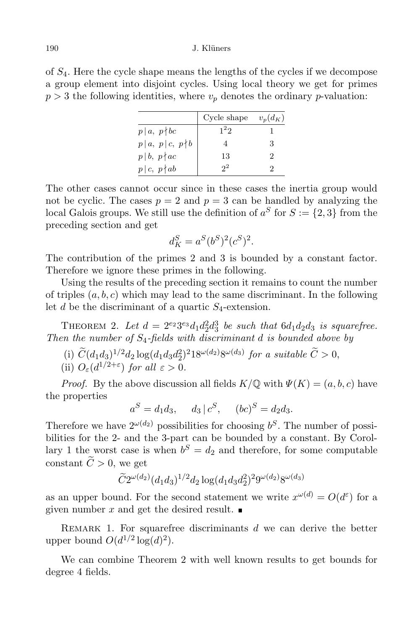## 190 J. Klüners

of S4. Here the cycle shape means the lengths of the cycles if we decompose a group element into disjoint cycles. Using local theory we get for primes  $p > 3$  the following identities, where  $v_p$  denotes the ordinary p-valuation:

|                                       | Cycle shape | $v_p(d_K)$ |
|---------------------------------------|-------------|------------|
| $p \mid a, p \nmid bc$                | $1^22$      |            |
| $p\, \,a,\ p\, \,c,\ p\nmid b\ \big $ |             | 3          |
| $p b, p \nmid ac$                     | 13          |            |
| $p\, c, p\nmid ab$                    |             |            |

The other cases cannot occur since in these cases the inertia group would not be cyclic. The cases  $p = 2$  and  $p = 3$  can be handled by analyzing the local Galois groups. We still use the definition of  $a^S$  for  $S := \{2,3\}$  from the preceding section and get

$$
d_K^S = a^S (b^S)^2 (c^S)^2.
$$

The contribution of the primes 2 and 3 is bounded by a constant factor. Therefore we ignore these primes in the following.

Using the results of the preceding section it remains to count the number of triples  $(a, b, c)$  which may lead to the same discriminant. In the following let d be the discriminant of a quartic  $S_4$ -extension.

THEOREM 2. Let  $d = 2^{e_2} 3^{e_3} d_1 d_2^2 d_3^3$  be such that  $6d_1 d_2 d_3$  is squarefree. Then the number of  $S_4$ -fields with discriminant d is bounded above by

- (i)  $C(d_1d_3)^{1/2}d_2\log(d_1d_3d_2^2)^{2}18^{\omega(d_2)}8^{\omega(d_3)}$  for a suitable  $C>0$ ,
- (ii)  $O_{\varepsilon}(d^{1/2+\varepsilon})$  for all  $\varepsilon > 0$ .

*Proof.* By the above discussion all fields  $K/\mathbb{Q}$  with  $\Psi(K) = (a, b, c)$  have the properties

 $a^S = d_1 d_3, \quad d_3 \mid c^S, \quad (bc)^S = d_2 d_3.$ 

Therefore we have  $2^{\omega(d_2)}$  possibilities for choosing  $b^S$ . The number of possibilities for the 2- and the 3-part can be bounded by a constant. By Corollary 1 the worst case is when  $b^S = d_2$  and therefore, for some computable constant  $\widetilde{C} > 0$ , we get

$$
\widetilde{C}2^{\omega(d_2)}(d_1d_3)^{1/2}d_2\log(d_1d_3d_2^2)^29^{\omega(d_2)}8^{\omega(d_3)}
$$

as an upper bound. For the second statement we write  $x^{\omega(d)} = O(d^{\varepsilon})$  for a given number x and get the desired result.

REMARK 1. For squarefree discriminants  $d$  we can derive the better upper bound  $O(d^{1/2} \log(d)^2)$ .

We can combine Theorem 2 with well known results to get bounds for degree 4 fields.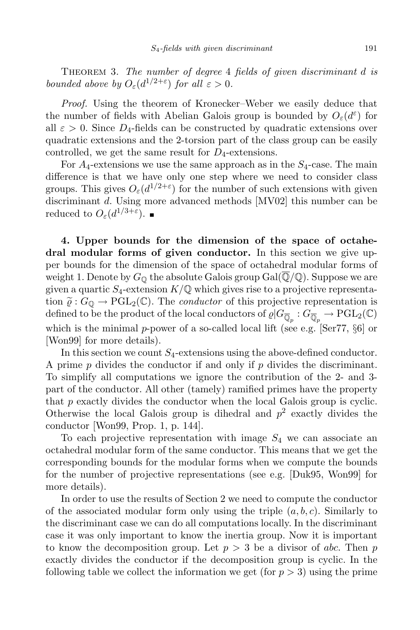THEOREM 3. The number of degree 4 fields of given discriminant d is bounded above by  $O_{\varepsilon}(d^{1/2+\varepsilon})$  for all  $\varepsilon > 0$ .

Proof. Using the theorem of Kronecker–Weber we easily deduce that the number of fields with Abelian Galois group is bounded by  $O_{\varepsilon}(d^{\varepsilon})$  for all  $\varepsilon > 0$ . Since  $D_4$ -fields can be constructed by quadratic extensions over quadratic extensions and the 2-torsion part of the class group can be easily controlled, we get the same result for  $D_4$ -extensions.

For  $A_4$ -extensions we use the same approach as in the  $S_4$ -case. The main difference is that we have only one step where we need to consider class groups. This gives  $O_{\varepsilon}(d^{1/2+\varepsilon})$  for the number of such extensions with given discriminant d. Using more advanced methods [MV02] this number can be reduced to  $O_{\varepsilon}(d^{1/3+\varepsilon}).$ 

4. Upper bounds for the dimension of the space of octahedral modular forms of given conductor. In this section we give upper bounds for the dimension of the space of octahedral modular forms of weight 1. Denote by  $G_{\mathbb{Q}}$  the absolute Galois group Gal( $\overline{\mathbb{Q}}/\mathbb{Q}$ ). Suppose we are given a quartic  $S_4$ -extension  $K/\mathbb{Q}$  which gives rise to a projective representation  $\tilde{\varrho}: G_{\mathbb{Q}} \to \mathrm{PGL}_2(\mathbb{C})$ . The *conductor* of this projective representation is defined to be the product of the local conductors of  $\varrho | G_{\overline{\mathbb Q}_p} : G_{\overline{\mathbb Q}_p} \to \mathrm{PGL}_2(\mathbb C)$ which is the minimal p-power of a so-called local lift (see e.g. [Ser77, §6] or [Won99] for more details).

In this section we count  $S_4$ -extensions using the above-defined conductor. A prime  $p$  divides the conductor if and only if  $p$  divides the discriminant. To simplify all computations we ignore the contribution of the 2- and 3 part of the conductor. All other (tamely) ramified primes have the property that p exactly divides the conductor when the local Galois group is cyclic. Otherwise the local Galois group is dihedral and  $p^2$  exactly divides the conductor [Won99, Prop. 1, p. 144].

To each projective representation with image  $S_4$  we can associate an octahedral modular form of the same conductor. This means that we get the corresponding bounds for the modular forms when we compute the bounds for the number of projective representations (see e.g. [Duk95, Won99] for more details).

In order to use the results of Section 2 we need to compute the conductor of the associated modular form only using the triple  $(a, b, c)$ . Similarly to the discriminant case we can do all computations locally. In the discriminant case it was only important to know the inertia group. Now it is important to know the decomposition group. Let  $p > 3$  be a divisor of abc. Then p exactly divides the conductor if the decomposition group is cyclic. In the following table we collect the information we get (for  $p > 3$ ) using the prime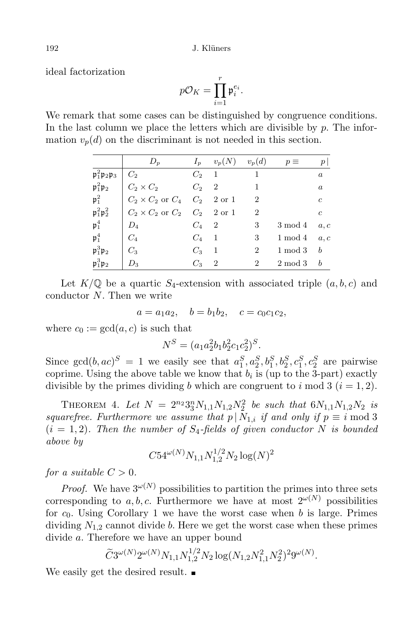ideal factorization

$$
p\mathcal{O}_K = \prod_{i=1}^r \mathfrak{p}_i^{e_i}.
$$

We remark that some cases can be distinguished by congruence conditions. In the last column we place the letters which are divisible by  $p$ . The information  $v_p(d)$  on the discriminant is not needed in this section.

|                                                  | $D_p$                                  | $I_n$   | $v_p(N)$       | $v_p(d)$       | $p \equiv$ | $\,p\,$          |
|--------------------------------------------------|----------------------------------------|---------|----------------|----------------|------------|------------------|
| $\mathfrak{p}_1^2 \mathfrak{p}_2 \mathfrak{p}_3$ | $C_2$                                  | $C_2$   | $\overline{1}$ |                |            | $\boldsymbol{a}$ |
| $\mathfrak{p}_1^2 \mathfrak{p}_2$                | $C_2 \times C_2$                       | $C_2$ 2 |                | 1              |            | $\boldsymbol{a}$ |
| $\mathfrak{p}_1^2$                               | $C_2 \times C_2$ or $C_4$              |         | $C_2$ 2 or 1   | $\overline{2}$ |            | $\mathfrak{c}$   |
| $\mathfrak{p}_1^2 \mathfrak{p}_2^2$              | $C_2 \times C_2$ or $C_2$ $C_2$ 2 or 1 |         |                | $\overline{2}$ |            | $\boldsymbol{c}$ |
| $\mathfrak{p}_1^4$                               | $D_4$                                  | $C_4$ 2 |                | 3              | $3 \mod 4$ | a, c             |
| $\mathfrak{p}_1^4$                               | $C_4$                                  | $C_4$   | -1             | 3              | $1 \mod 4$ | a, c             |
| $\mathfrak{p}_1^3 \mathfrak{p}_2$                | $C_3$                                  | $C_{3}$ | 1              | $\overline{2}$ | $1 \mod 3$ | $\boldsymbol{b}$ |
| $\mathfrak{p}_1^3 \mathfrak{p}_2$                | $D_3$                                  | $C_3$   | $\overline{2}$ | $\overline{2}$ | $2 \mod 3$ | $\boldsymbol{b}$ |

Let  $K/\mathbb{Q}$  be a quartic  $S_4$ -extension with associated triple  $(a, b, c)$  and conductor N. Then we write

$$
a = a_1 a_2
$$
,  $b = b_1 b_2$ ,  $c = c_0 c_1 c_2$ ,

where  $c_0 := \gcd(a, c)$  is such that

$$
N^S = (a_1 a_2^2 b_1 b_2^2 c_1 c_2^2)^S.
$$

Since  $gcd(b, ac)^S = 1$  we easily see that  $a_1^S, a_2^S, b_1^S, b_2^S, c_1^S, c_2^S$  are pairwise coprime. Using the above table we know that  $b_i$  is (up to the 3-part) exactly divisible by the primes dividing b which are congruent to i mod 3  $(i = 1, 2)$ .

THEOREM 4. Let  $N = 2^{n_2} 3_3^n N_{1,1} N_{1,2} N_2^2$  be such that  $6N_{1,1}N_{1,2}N_2$  is squarefree. Furthermore we assume that  $p | N_{1,i}$  if and only if  $p \equiv i \mod 3$  $(i = 1, 2)$ . Then the number of  $S_4$ -fields of given conductor N is bounded above by

$$
C54^{\omega(N)}N_{1,1}N_{1,2}^{1/2}N_2\log(N)^2
$$

for a suitable  $C > 0$ .

*Proof.* We have  $3^{\omega(N)}$  possibilities to partition the primes into three sets corresponding to a, b, c. Furthermore we have at most  $2^{\omega(N)}$  possibilities for  $c_0$ . Using Corollary 1 we have the worst case when b is large. Primes dividing  $N_{1,2}$  cannot divide b. Here we get the worst case when these primes divide a. Therefore we have an upper bound

$$
\widetilde{C}3^{\omega(N)}2^{\omega(N)}N_{1,1}N_{1,2}^{1/2}N_2\log(N_{1,2}N_{1,1}^2N_2^2)^29^{\omega(N)}.
$$

We easily get the desired result.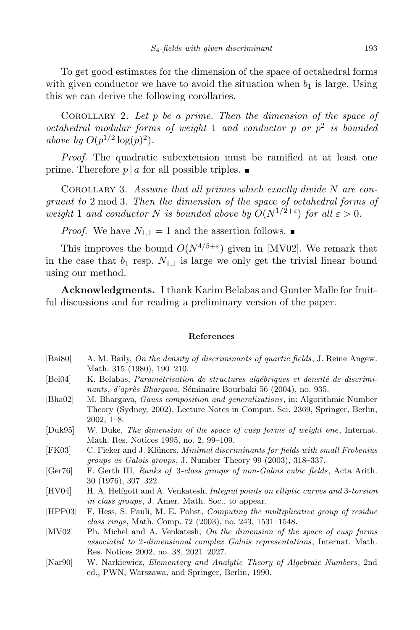To get good estimates for the dimension of the space of octahedral forms with given conductor we have to avoid the situation when  $b_1$  is large. Using this we can derive the following corollaries.

COROLLARY 2. Let  $p$  be a prime. Then the dimension of the space of octahedral modular forms of weight 1 and conductor  $p$  or  $p^2$  is bounded above by  $O(p^{1/2} \log(p)^2)$ .

Proof. The quadratic subextension must be ramified at at least one prime. Therefore  $p | a$  for all possible triples.

COROLLARY 3. Assume that all primes which exactly divide  $N$  are congruent to 2 mod 3. Then the dimension of the space of octahedral forms of weight 1 and conductor N is bounded above by  $O(N^{1/2+\epsilon})$  for all  $\varepsilon > 0$ .

*Proof.* We have  $N_{1,1} = 1$  and the assertion follows.

This improves the bound  $O(N^{4/5+\epsilon})$  given in [MV02]. We remark that in the case that  $b_1$  resp.  $N_{1,1}$  is large we only get the trivial linear bound using our method.

Acknowledgments. I thank Karim Belabas and Gunter Malle for fruitful discussions and for reading a preliminary version of the paper.

## References

- [Bai80] A. M. Baily, On the density of discriminants of quartic fields, J. Reine Angew. Math. 315 (1980), 190–210.
- [Bel04] K. Belabas, *Paramétrisation de structures algébriques et densité de discrimi*nants, d'après Bhargava, Séminaire Bourbaki 56 (2004), no. 935.
- [Bha02] M. Bhargava, Gauss composition and generalizations, in: Algorithmic Number Theory (Sydney, 2002), Lecture Notes in Comput. Sci. 2369, Springer, Berlin, 2002, 1–8.
- [Duk95] W. Duke, The dimension of the space of cusp forms of weight one, Internat. Math. Res. Notices 1995, no. 2, 99–109.
- [FK03] C. Fieker and J. Klüners, *Minimal discriminants for fields with small Frobenius* groups as Galois groups, J. Number Theory 99 (2003), 318–337.
- [Ger76] F. Gerth III, Ranks of 3-class groups of non-Galois cubic fields, Acta Arith. 30 (1976), 307–322.
- [HV04] H. A. Helfgott and A. Venkatesh, Integral points on elliptic curves and 3-torsion in class groups, J. Amer. Math. Soc., to appear.
- [HPP03] F. Hess, S. Pauli, M. E. Pohst, Computing the multiplicative group of residue class rings, Math. Comp. 72 (2003), no. 243, 1531–1548.
- [MV02] Ph. Michel and A. Venkatesh, On the dimension of the space of cusp forms associated to 2-dimensional complex Galois representations, Internat. Math. Res. Notices 2002, no. 38, 2021–2027.
- [Nar90] W. Narkiewicz, Elementary and Analytic Theory of Algebraic Numbers, 2nd ed., PWN, Warszawa, and Springer, Berlin, 1990.